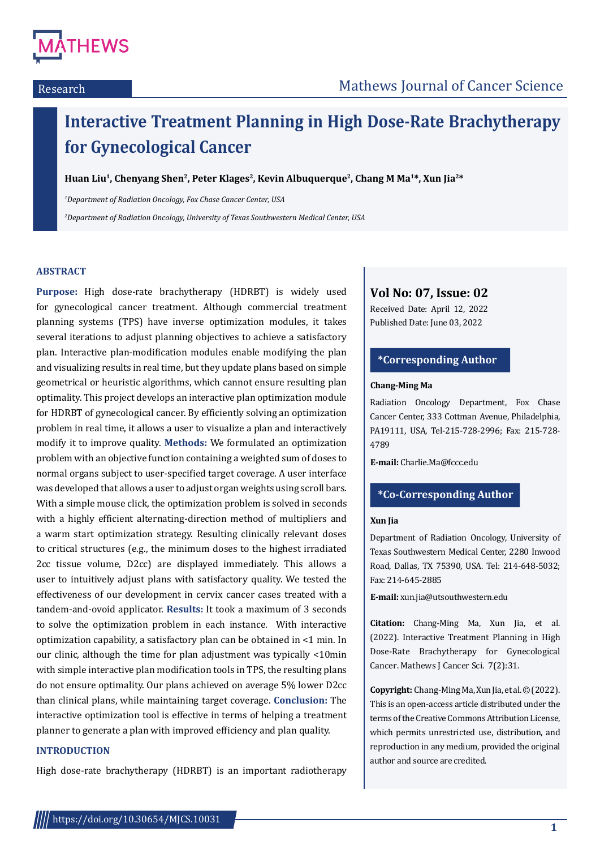

# **Interactive Treatment Planning in High Dose-Rate Brachytherapy for Gynecological Cancer**

Huan Liu<sup>1</sup>, Chenyang Shen<sup>2</sup>, Peter Klages<sup>2</sup>, Kevin Albuquerque<sup>2</sup>, Chang M Ma<sup>1\*</sup>, Xun Jia<sup>2\*</sup>

*1 Department of Radiation Oncology, Fox Chase Cancer Center, USA*

*2 Department of Radiation Oncology, University of Texas Southwestern Medical Center, USA*

# **ABSTRACT**

**Purpose:** High dose-rate brachytherapy (HDRBT) is widely used for gynecological cancer treatment. Although commercial treatment planning systems (TPS) have inverse optimization modules, it takes several iterations to adjust planning objectives to achieve a satisfactory plan. Interactive plan-modification modules enable modifying the plan and visualizing results in real time, but they update plans based on simple geometrical or heuristic algorithms, which cannot ensure resulting plan optimality. This project develops an interactive plan optimization module for HDRBT of gynecological cancer. By efficiently solving an optimization problem in real time, it allows a user to visualize a plan and interactively modify it to improve quality. **Methods:** We formulated an optimization problem with an objective function containing a weighted sum of doses to normal organs subject to user-specified target coverage. A user interface was developed that allows a user to adjust organ weights using scroll bars. With a simple mouse click, the optimization problem is solved in seconds with a highly efficient alternating-direction method of multipliers and a warm start optimization strategy. Resulting clinically relevant doses to critical structures (e.g., the minimum doses to the highest irradiated 2cc tissue volume, D2cc) are displayed immediately. This allows a user to intuitively adjust plans with satisfactory quality. We tested the effectiveness of our development in cervix cancer cases treated with a tandem-and-ovoid applicator. **Results:** It took a maximum of 3 seconds to solve the optimization problem in each instance. With interactive optimization capability, a satisfactory plan can be obtained in <1 min. In our clinic, although the time for plan adjustment was typically <10min with simple interactive plan modification tools in TPS, the resulting plans do not ensure optimality. Our plans achieved on average 5% lower D2cc than clinical plans, while maintaining target coverage. **Conclusion:** The interactive optimization tool is effective in terms of helping a treatment planner to generate a plan with improved efficiency and plan quality.

## **INTRODUCTION**

High dose-rate brachytherapy (HDRBT) is an important radiotherapy

# **Vol No: 07, Issue: 02**

Received Date: April 12, 2022 Published Date: June 03, 2022

# **\*Corresponding Author**

#### **Chang-Ming Ma**

Radiation Oncology Department, Fox Chase Cancer Center, 333 Cottman Avenue, Philadelphia, PA19111, USA, Tel-215-728-2996; Fax: 215-728- 4789

**E-mail:** Charlie.Ma@fccc.edu

### **\*Co-Corresponding Author**

#### **Xun Jia**

Department of Radiation Oncology, University of Texas Southwestern Medical Center, 2280 Inwood Road, Dallas, TX 75390, USA. Tel: 214-648-5032; Fax: 214-645-2885

**E-mail:** xun.jia@utsouthwestern.edu

**Citation:** Chang-Ming Ma, Xun Jia, et al. (2022). Interactive Treatment Planning in High Dose-Rate Brachytherapy for Gynecological Cancer. Mathews J Cancer Sci. 7(2):31.

**Copyright:** Chang-Ming Ma, Xun Jia, et al.©(2022). This is an open-access article distributed under the terms of the Creative Commons Attribution License, which permits unrestricted use, distribution, and reproduction in any medium, provided the original author and source are credited.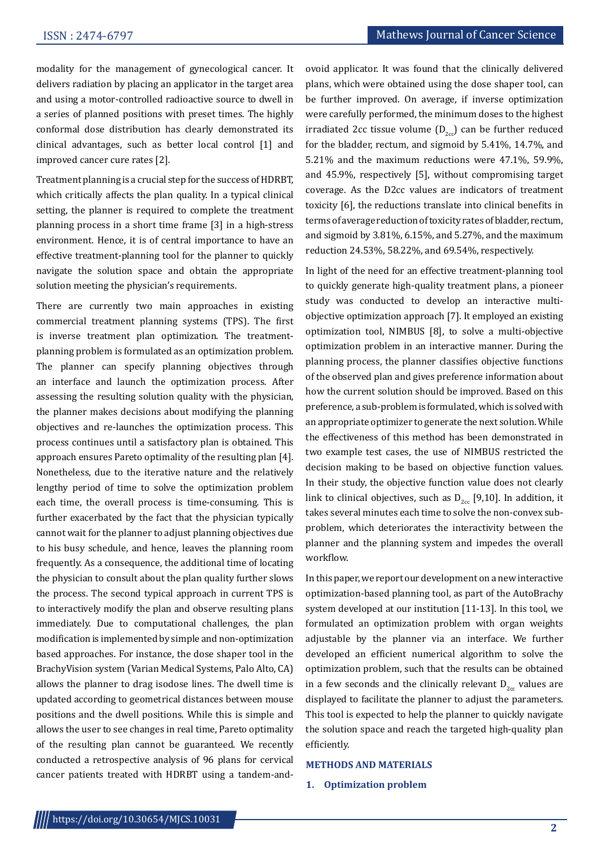modality for the management of gynecological cancer. It delivers radiation by placing an applicator in the target area and using a motor-controlled radioactive source to dwell in a series of planned positions with preset times. The highly conformal dose distribution has clearly demonstrated its clinical advantages, such as better local control [1] and improved cancer cure rates [2].

Treatment planning is a crucial step for the success of HDRBT, which critically affects the plan quality. In a typical clinical setting, the planner is required to complete the treatment planning process in a short time frame [3] in a high-stress environment. Hence, it is of central importance to have an effective treatment-planning tool for the planner to quickly navigate the solution space and obtain the appropriate solution meeting the physician's requirements.

There are currently two main approaches in existing commercial treatment planning systems (TPS). The first is inverse treatment plan optimization. The treatmentplanning problem is formulated as an optimization problem. The planner can specify planning objectives through an interface and launch the optimization process. After assessing the resulting solution quality with the physician, the planner makes decisions about modifying the planning objectives and re-launches the optimization process. This process continues until a satisfactory plan is obtained. This approach ensures Pareto optimality of the resulting plan [4]. Nonetheless, due to the iterative nature and the relatively lengthy period of time to solve the optimization problem each time, the overall process is time-consuming. This is further exacerbated by the fact that the physician typically cannot wait for the planner to adjust planning objectives due to his busy schedule, and hence, leaves the planning room frequently. As a consequence, the additional time of locating the physician to consult about the plan quality further slows the process. The second typical approach in current TPS is to interactively modify the plan and observe resulting plans immediately. Due to computational challenges, the plan modification is implemented by simple and non-optimization based approaches. For instance, the dose shaper tool in the BrachyVision system (Varian Medical Systems, Palo Alto, CA) allows the planner to drag isodose lines. The dwell time is updated according to geometrical distances between mouse positions and the dwell positions. While this is simple and allows the user to see changes in real time, Pareto optimality of the resulting plan cannot be guaranteed. We recently conducted a retrospective analysis of 96 plans for cervical cancer patients treated with HDRBT using a tandem-andovoid applicator. It was found that the clinically delivered plans, which were obtained using the dose shaper tool, can be further improved. On average, if inverse optimization were carefully performed, the minimum doses to the highest irradiated 2cc tissue volume  $(D_{2cc})$  can be further reduced for the bladder, rectum, and sigmoid by 5.41%, 14.7%, and 5.21% and the maximum reductions were 47.1%, 59.9%, and 45.9%, respectively [5], without compromising target coverage. As the D2cc values are indicators of treatment toxicity [6], the reductions translate into clinical benefits in terms of average reduction of toxicity rates of bladder, rectum, and sigmoid by 3.81%, 6.15%, and 5.27%, and the maximum reduction 24.53%, 58.22%, and 69.54%, respectively.

In light of the need for an effective treatment-planning tool to quickly generate high-quality treatment plans, a pioneer study was conducted to develop an interactive multiobjective optimization approach [7]. It employed an existing optimization tool, NIMBUS [8], to solve a multi-objective optimization problem in an interactive manner. During the planning process, the planner classifies objective functions of the observed plan and gives preference information about how the current solution should be improved. Based on this preference, a sub-problem is formulated, which is solved with an appropriate optimizer to generate the next solution. While the effectiveness of this method has been demonstrated in two example test cases, the use of NIMBUS restricted the decision making to be based on objective function values. In their study, the objective function value does not clearly link to clinical objectives, such as  $D_{2cc}$  [9,10]. In addition, it takes several minutes each time to solve the non-convex subproblem, which deteriorates the interactivity between the planner and the planning system and impedes the overall workflow.

In this paper, we report our development on a new interactive optimization-based planning tool, as part of the AutoBrachy system developed at our institution [11-13]. In this tool, we formulated an optimization problem with organ weights adjustable by the planner via an interface. We further developed an efficient numerical algorithm to solve the optimization problem, such that the results can be obtained in a few seconds and the clinically relevant  $D_{2cc}$  values are displayed to facilitate the planner to adjust the parameters. This tool is expected to help the planner to quickly navigate the solution space and reach the targeted high-quality plan efficiently.

#### **METHODS AND MATERIALS**

#### **1. Optimization problem**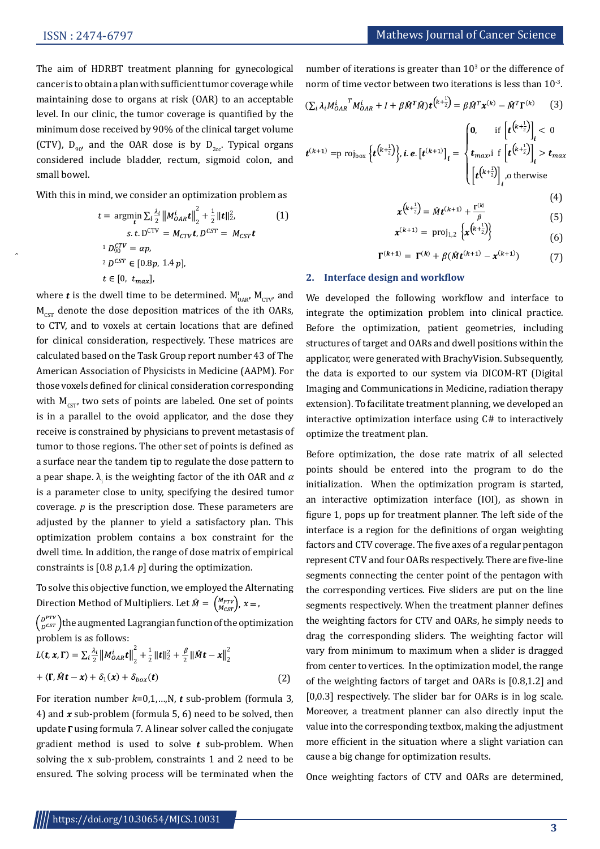The aim of HDRBT treatment planning for gynecological cancer is to obtain a plan with sufficient tumor coverage while maintaining dose to organs at risk (OAR) to an acceptable level. In our clinic, the tumor coverage is quantified by the minimum dose received by 90% of the clinical target volume (CTV),  $D_{90}$ , and the OAR dose is by  $D_{2cc}$ . Typical organs considered include bladder, rectum, sigmoid colon, and small bowel.

With this in mind, we consider an optimization problem as

$$
t = \underset{t}{\text{argmin}} \sum_{i} \frac{\lambda_{i}}{2} ||M_{OAR}^{i}t||_{2}^{2} + \frac{1}{2} ||t||_{2}^{2},
$$
\n
$$
s.t. D^{CTV} = M_{CTV}t, D^{CST} = M_{CST}t
$$
\n
$$
{}^{1}D_{90}^{CTV} = \alpha p,
$$
\n
$$
{}^{2}D^{CST} \in [0.8p, 1.4p],
$$
\n
$$
t \in [0, t_{max}],
$$

where  $\boldsymbol{t}$  is the dwell time to be determined.  $\boldsymbol{\mathsf{M}}_{\mathsf{OAR}}^{\mathsf{I}},\,\boldsymbol{\mathsf{M}}_{\mathsf{CTV}^{\prime}}$  and  $M_{\text{cstr}}$  denote the dose deposition matrices of the ith OARs, to CTV, and to voxels at certain locations that are defined for clinical consideration, respectively. These matrices are calculated based on the Task Group report number 43 of The American Association of Physicists in Medicine (AAPM). For those voxels defined for clinical consideration corresponding with  $M_{\text{cstr}}$  two sets of points are labeled. One set of points is in a parallel to the ovoid applicator, and the dose they receive is constrained by physicians to prevent metastasis of tumor to those regions. The other set of points is defined as a surface near the tandem tip to regulate the dose pattern to a pear shape.  $\lambda_{\text{i}}$  is the weighting factor of the ith OAR and  $\alpha$ is a parameter close to unity, specifying the desired tumor coverage. *p* is the prescription dose. These parameters are adjusted by the planner to yield a satisfactory plan. This optimization problem contains a box constraint for the dwell time. In addition, the range of dose matrix of empirical constraints is [0.8 *p*,1.4 *p*] during the optimization.

To solve this objective function, we employed the Alternating Direction Method of Multipliers. Let  $\hat{M} = \begin{pmatrix} M_{PTV} \\ M_{CST} \end{pmatrix}$ ,  $x =$ ,

 $\binom{D^{PTV}}{D^{CST}}$  the augmented Lagrangian function of the optimization problem is as follows:

$$
L(\mathbf{t}, \mathbf{x}, \mathbf{\Gamma}) = \sum_{i} \frac{\lambda_{i}}{2} ||M_{OAR}^{i} \mathbf{t}||_{2}^{2} + \frac{1}{2} ||\mathbf{t}||_{2}^{2} + \frac{\beta}{2} ||\hat{M}\mathbf{t} - \mathbf{x}||_{2}^{2}
$$
  
+  $\langle \mathbf{\Gamma}, \hat{M}\mathbf{t} - \mathbf{x} \rangle + \delta_{1}(\mathbf{x}) + \delta_{box}(\mathbf{t})$  (2)

For iteration number  $k=0,1,...,N$ , t sub-problem (formula 3, 4) and  $x$  sub-problem (formula 5, 6) need to be solved, then update  $\Gamma$  using formula 7. A linear solver called the conjugate gradient method is used to solve  $t$  sub-problem. When solving the x sub-problem, constraints 1 and 2 need to be ensured. The solving process will be terminated when the number of iterations is greater than  $10<sup>3</sup>$  or the difference of norm of time vector between two iterations is less than 10-3.

$$
\left(\sum_{i} \lambda_{i} M_{OAR}^{i} \mathbf{M}_{OAR}^{i} + I + \beta \hat{M}^{T} \hat{M}\right) \mathbf{t}^{k + \frac{1}{2}} = \beta \hat{M}^{T} \mathbf{x}^{(k)} - \hat{M}^{T} \mathbf{\Gamma}^{(k)} \qquad (3)
$$

$$
\left| \mathbf{0}, \quad \text{if } \left[ \mathbf{t}^{(k + \frac{1}{2})} \right] < 0
$$

$$
\boldsymbol{t}^{(k+1)} = p \text{ roj}_{\text{box}} \left\{ \boldsymbol{t}^{\left(k+\frac{1}{2}\right)} \right\}, \boldsymbol{i} \text{.} \boldsymbol{e}. \left[ \boldsymbol{t}^{(k+1)} \right]_{i} = \begin{cases} 0, & \text{if } \left[ \boldsymbol{t}^{\left(k^{2} \right)} \right]_{i} < 0 \\ t_{\text{max}}, & \text{if } \left[ \boldsymbol{t}^{\left(k^{2} \right)} \right]_{i} > t_{\text{max}} \\ \left[ \boldsymbol{t}^{\left(k+\frac{1}{2}\right)} \right]_{i}, & \text{otherwise} \end{cases}
$$

$$
x^{\left(k+\frac{1}{2}\right)} = \hat{M}t^{\left(k+1\right)} + \frac{\Gamma^{\left(k\right)}}{\beta} \tag{5}
$$

$$
x^{(k+1)} = \text{proj}_{1,2} \left\{ x^{\left(k + \frac{1}{2}\right)} \right\} \tag{6}
$$

$$
\Gamma^{(k+1)} = \Gamma^{(k)} + \beta(\hat{M}t^{(k+1)} - x^{(k+1)})
$$
(7)

#### **2. Interface design and workflow**

We developed the following workflow and interface to integrate the optimization problem into clinical practice. Before the optimization, patient geometries, including structures of target and OARs and dwell positions within the applicator, were generated with BrachyVision. Subsequently, the data is exported to our system via DICOM-RT (Digital Imaging and Communications in Medicine, radiation therapy extension). To facilitate treatment planning, we developed an interactive optimization interface using C# to interactively optimize the treatment plan.

Before optimization, the dose rate matrix of all selected points should be entered into the program to do the initialization. When the optimization program is started, an interactive optimization interface (IOI), as shown in figure 1, pops up for treatment planner. The left side of the interface is a region for the definitions of organ weighting factors and CTV coverage. The five axes of a regular pentagon represent CTV and four OARs respectively. There are five-line segments connecting the center point of the pentagon with the corresponding vertices. Five sliders are put on the line segments respectively. When the treatment planner defines the weighting factors for CTV and OARs, he simply needs to drag the corresponding sliders. The weighting factor will vary from minimum to maximum when a slider is dragged from center to vertices. In the optimization model, the range of the weighting factors of target and OARs is [0.8,1.2] and [0,0.3] respectively. The slider bar for OARs is in log scale. Moreover, a treatment planner can also directly input the value into the corresponding textbox, making the adjustment more efficient in the situation where a slight variation can cause a big change for optimization results.

Once weighting factors of CTV and OARs are determined,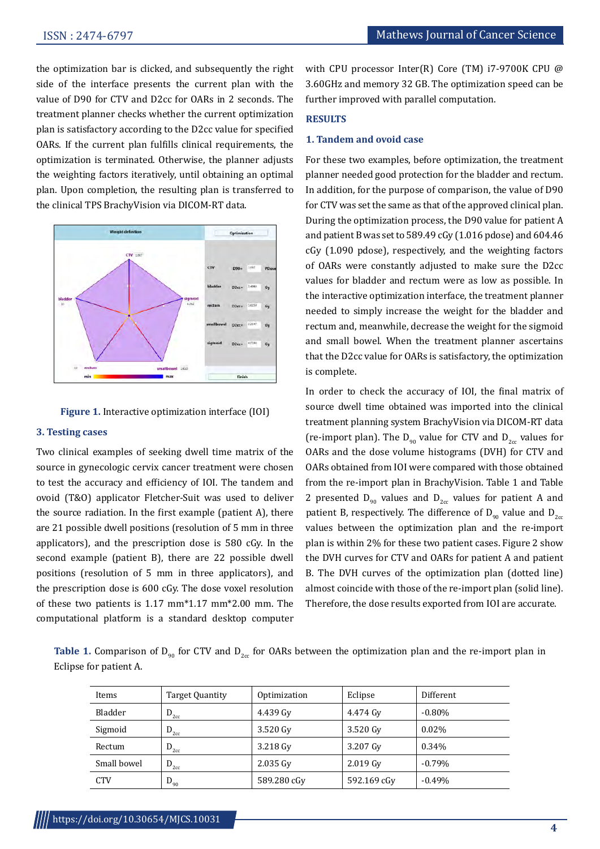the optimization bar is clicked, and subsequently the right side of the interface presents the current plan with the value of D90 for CTV and D2cc for OARs in 2 seconds. The treatment planner checks whether the current optimization plan is satisfactory according to the D2cc value for specified OARs. If the current plan fulfills clinical requirements, the optimization is terminated. Otherwise, the planner adjusts the weighting factors iteratively, until obtaining an optimal plan. Upon completion, the resulting plan is transferred to the clinical TPS BrachyVision via DICOM-RT data.





#### **3. Testing cases**

Two clinical examples of seeking dwell time matrix of the source in gynecologic cervix cancer treatment were chosen to test the accuracy and efficiency of IOI. The tandem and ovoid (T&O) applicator Fletcher-Suit was used to deliver the source radiation. In the first example (patient A), there are 21 possible dwell positions (resolution of 5 mm in three applicators), and the prescription dose is 580 cGy. In the second example (patient B), there are 22 possible dwell positions (resolution of 5 mm in three applicators), and the prescription dose is 600 cGy. The dose voxel resolution of these two patients is 1.17 mm\*1.17 mm\*2.00 mm. The computational platform is a standard desktop computer

with CPU processor Inter(R) Core (TM) i7-9700K CPU @ 3.60GHz and memory 32 GB. The optimization speed can be further improved with parallel computation.

# **RESULTS**

# **1. Tandem and ovoid case**

For these two examples, before optimization, the treatment planner needed good protection for the bladder and rectum. In addition, for the purpose of comparison, the value of D90 for CTV was set the same as that of the approved clinical plan. During the optimization process, the D90 value for patient A and patient B was set to 589.49 cGy (1.016 pdose) and 604.46 cGy (1.090 pdose), respectively, and the weighting factors of OARs were constantly adjusted to make sure the D2cc values for bladder and rectum were as low as possible. In the interactive optimization interface, the treatment planner needed to simply increase the weight for the bladder and rectum and, meanwhile, decrease the weight for the sigmoid and small bowel. When the treatment planner ascertains that the D2cc value for OARs is satisfactory, the optimization is complete.

In order to check the accuracy of IOI, the final matrix of source dwell time obtained was imported into the clinical treatment planning system BrachyVision via DICOM-RT data (re-import plan). The  $D_{q0}$  value for CTV and  $D_{qcc}$  values for OARs and the dose volume histograms (DVH) for CTV and OARs obtained from IOI were compared with those obtained from the re-import plan in BrachyVision. Table 1 and Table 2 presented  $D_{q_0}$  values and  $D_{q_0}$  values for patient A and patient B, respectively. The difference of  $D_{q0}$  value and  $D_{qcc}$ values between the optimization plan and the re-import plan is within 2% for these two patient cases. Figure 2 show the DVH curves for CTV and OARs for patient A and patient B. The DVH curves of the optimization plan (dotted line) almost coincide with those of the re-import plan (solid line). Therefore, the dose results exported from IOI are accurate.

**Table 1.** Comparison of  $D_{90}$  for CTV and  $D_{2cc}$  for OARs between the optimization plan and the re-import plan in Eclipse for patient A.

| Items       | Target Quantity | Optimization | Eclipse     | Different |
|-------------|-----------------|--------------|-------------|-----------|
| Bladder     | $D_{2cc}$       | 4.439 Gv     | 4.474 Gv    | $-0.80\%$ |
| Sigmoid     | $D_{2cc}$       | 3.520 Gv     | 3.520 Gv    | $0.02\%$  |
| Rectum      | $D_{2cc}$       | 3.218 Gv     | 3.207 Gv    | 0.34%     |
| Small bowel | $D_{2cc}$       | 2.035 Gv     | $2.019$ Gv  | $-0.79\%$ |
| <b>CTV</b>  | $D_{90}$        | 589.280 cGv  | 592.169 cGv | $-0.49%$  |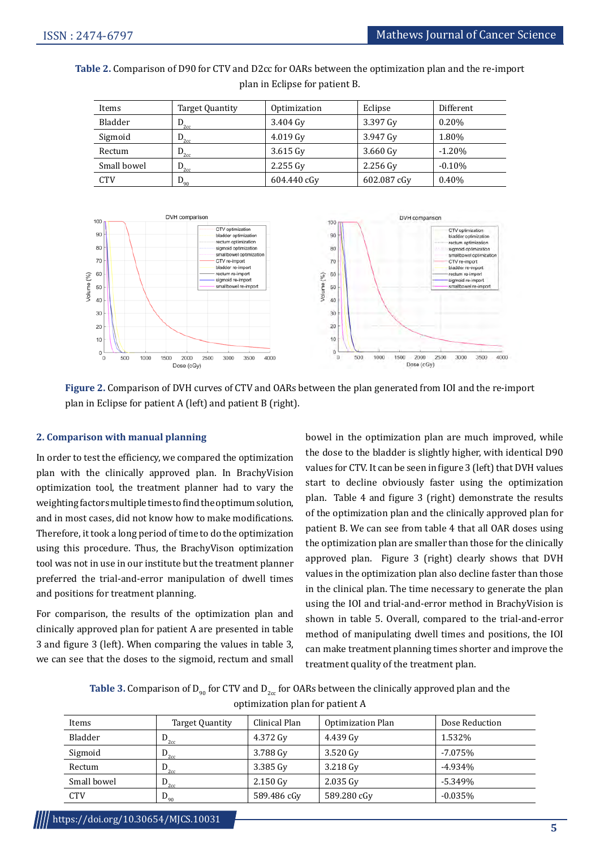**Table 2.** Comparison of D90 for CTV and D2cc for OARs between the optimization plan and the re-import plan in Eclipse for patient B.

| Items       | Target Quantity           | Optimization       | Eclipse     | Different |
|-------------|---------------------------|--------------------|-------------|-----------|
| Bladder     | $\mathbf{D}_{2\text{cc}}$ | 3.404 Gv           | 3.397 Gv    | $0.20\%$  |
| Sigmoid     | $\mathsf{D}_{2\text{cc}}$ | $4.019 \text{ Gy}$ | 3.947 Gv    | 1.80%     |
| Rectum      | $D_{\rm{2cc}}$            | $3.615$ Gv         | $3.660$ Gv  | $-1.20\%$ |
| Small bowel | $D_{\rm 2cc}$             | $2.255$ Gv         | $2.256$ Gv  | $-0.10%$  |
| <b>CTV</b>  | $D_{90}$                  | 604.440 cGy        | 602.087 cGy | 0.40%     |



**Figure 2.** Comparison of DVH curves of CTV and OARs between the plan generated from IOI and the re-import plan in Eclipse for patient A (left) and patient B (right).

### **2. Comparison with manual planning**

In order to test the efficiency, we compared the optimization plan with the clinically approved plan. In BrachyVision optimization tool, the treatment planner had to vary the weighting factors multiple times to find the optimum solution, and in most cases, did not know how to make modifications. Therefore, it took a long period of time to do the optimization using this procedure. Thus, the BrachyVison optimization tool was not in use in our institute but the treatment planner preferred the trial-and-error manipulation of dwell times and positions for treatment planning.

For comparison, the results of the optimization plan and clinically approved plan for patient A are presented in table 3 and figure 3 (left). When comparing the values in table 3, we can see that the doses to the sigmoid, rectum and small bowel in the optimization plan are much improved, while the dose to the bladder is slightly higher, with identical D90 values for CTV. It can be seen in figure 3 (left) that DVH values start to decline obviously faster using the optimization plan. Table 4 and figure 3 (right) demonstrate the results of the optimization plan and the clinically approved plan for patient B. We can see from table 4 that all OAR doses using the optimization plan are smaller than those for the clinically approved plan. Figure 3 (right) clearly shows that DVH values in the optimization plan also decline faster than those in the clinical plan. The time necessary to generate the plan using the IOI and trial-and-error method in BrachyVision is shown in table 5. Overall, compared to the trial-and-error method of manipulating dwell times and positions, the IOI can make treatment planning times shorter and improve the treatment quality of the treatment plan.

**Table 3.** Comparison of  $D_{q0}$  for CTV and  $D_{q0}$  for OARs between the clinically approved plan and the optimization plan for patient A

| Items       | Target Quantity | Clinical Plan      | <b>Optimization Plan</b> | Dose Reduction |
|-------------|-----------------|--------------------|--------------------------|----------------|
| Bladder     | $D_{2cc}$       | 4.372 Gv           | 4.439 Gv                 | 1.532%         |
| Sigmoid     | $D_{2cc}$       | 3.788 Gv           | 3.520 Gv                 | $-7.075%$      |
| Rectum      | $D_{2cc}$       | 3.385 Gy           | 3.218 Gv                 | $-4.934\%$     |
| Small bowel | $D_{2cc}$       | $2.150 \text{ Gv}$ | 2.035 Gv                 | $-5.349%$      |
| <b>CTV</b>  | $D_{90}$        | 589.486 cGy        | 589.280 cGy              | $-0.035%$      |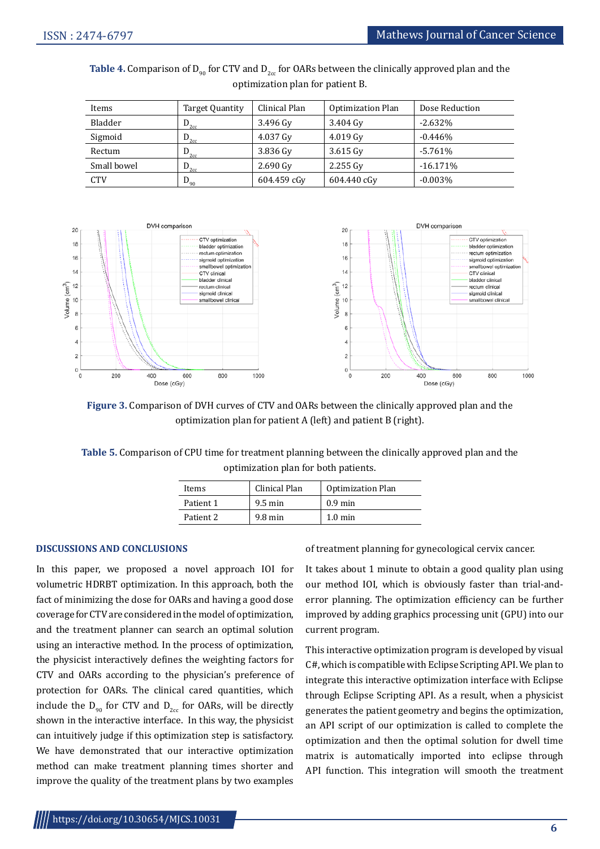| Items       | Target Quantity | Clinical Plan      | <b>Optimization Plan</b> | Dose Reduction |
|-------------|-----------------|--------------------|--------------------------|----------------|
| Bladder     | $D_{2cc}$       | 3.496 Gv           | 3.404 Gv                 | $-2.632\%$     |
| Sigmoid     | $D_{2cc}$       | 4.037 Gy           | $4.019 \text{ Gy}$       | $-0.446%$      |
| Rectum      | $D_{2cc}$       | 3.836 Gy           | $3.615$ Gv               | $-5.761%$      |
| Small bowel | $D_{2cc}$       | $2.690 \text{ Gy}$ | $2.255 \text{ Gv}$       | $-16.171\%$    |
| <b>CTV</b>  | $D_{90}$        | 604.459 cGv        | 604.440 cGv              | $-0.003\%$     |

**Table 4.** Comparison of  $D_{90}$  for CTV and  $D_{2cc}$  for OARs between the clinically approved plan and the optimization plan for patient B.



**Figure 3.** Comparison of DVH curves of CTV and OARs between the clinically approved plan and the optimization plan for patient A (left) and patient B (right).

**Table 5.** Comparison of CPU time for treatment planning between the clinically approved plan and the optimization plan for both patients.

| Clinical Plan<br>Items |                   | <b>Optimization Plan</b> |  |
|------------------------|-------------------|--------------------------|--|
| Patient 1              | $9.5 \text{ min}$ | $0.9$ min                |  |
| Patient 2              | $9.8 \text{ min}$ | $1.0 \text{ min}$        |  |

#### **DISCUSSIONS AND CONCLUSIONS**

In this paper, we proposed a novel approach IOI for volumetric HDRBT optimization. In this approach, both the fact of minimizing the dose for OARs and having a good dose coverage for CTV are considered in the model of optimization, and the treatment planner can search an optimal solution using an interactive method. In the process of optimization, the physicist interactively defines the weighting factors for CTV and OARs according to the physician's preference of protection for OARs. The clinical cared quantities, which include the  $D_{q0}$  for CTV and  $D_{qcc}$  for OARs, will be directly shown in the interactive interface. In this way, the physicist can intuitively judge if this optimization step is satisfactory. We have demonstrated that our interactive optimization method can make treatment planning times shorter and improve the quality of the treatment plans by two examples

of treatment planning for gynecological cervix cancer.

It takes about 1 minute to obtain a good quality plan using our method IOI, which is obviously faster than trial-anderror planning. The optimization efficiency can be further improved by adding graphics processing unit (GPU) into our current program.

This interactive optimization program is developed by visual C#, which is compatible with Eclipse Scripting API. We plan to integrate this interactive optimization interface with Eclipse through Eclipse Scripting API. As a result, when a physicist generates the patient geometry and begins the optimization, an API script of our optimization is called to complete the optimization and then the optimal solution for dwell time matrix is automatically imported into eclipse through API function. This integration will smooth the treatment